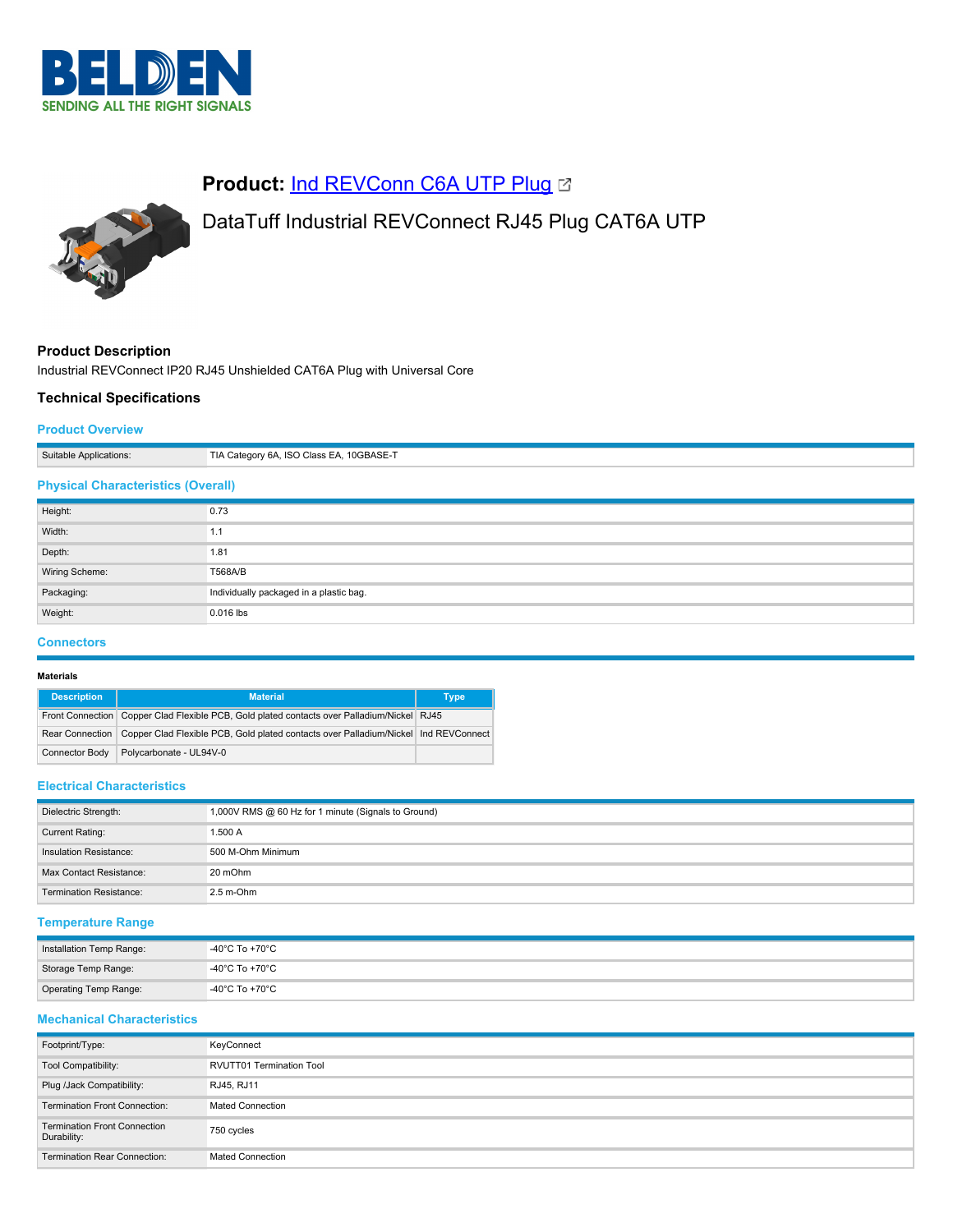

# **Product: [Ind REVConn C6A UTP Plug](https://catalog.belden.com/index.cfm?event=pd&p=PF_IndREVConnC6AUTPPlug&tab=downloads) &**

# DataTuff Industrial REVConnect RJ45 Plug CAT6A UTP

# **Product Description**

Industrial REVConnect IP20 RJ45 Unshielded CAT6A Plug with Universal Core

# **Technical Specifications**

### **Product Overview**

| Suitable Applications:                    | TIA Category 6A, ISO Class EA, 10GBASE-T |
|-------------------------------------------|------------------------------------------|
| <b>Physical Characteristics (Overall)</b> |                                          |
| Height:                                   | 0.73                                     |
| Width:                                    | 1.1                                      |
| Depth:                                    | 1.81                                     |
| Wiring Scheme:                            | T568A/B                                  |
| Packaging:                                | Individually packaged in a plastic bag.  |
| Weight:                                   | 0.016 lbs                                |

# **Connectors**

#### **Materials**

| <b>Description</b>    | <b>Material</b>                                                                                         | <b>Type</b> |
|-----------------------|---------------------------------------------------------------------------------------------------------|-------------|
|                       | Front Connection Copper Clad Flexible PCB, Gold plated contacts over Palladium/Nickel RJ45              |             |
|                       | Rear Connection   Copper Clad Flexible PCB, Gold plated contacts over Palladium/Nickel   Ind REVConnect |             |
| <b>Connector Body</b> | Polycarbonate - UL94V-0                                                                                 |             |

## **Electrical Characteristics**

| Dielectric Strength:           | 1,000V RMS @ 60 Hz for 1 minute (Signals to Ground) |
|--------------------------------|-----------------------------------------------------|
| Current Rating:                | 1.500 A                                             |
| Insulation Resistance:         | 500 M-Ohm Minimum                                   |
| Max Contact Resistance:        | 20 mOhm                                             |
| <b>Termination Resistance:</b> | $2.5$ m-Ohm                                         |

## **Temperature Range**

| Installation Temp Range: | -40°C To +70°C |
|--------------------------|----------------|
| Storage Temp Range:      | -40°C To +70°C |
| Operating Temp Range:    | -40°C To +70°C |

# **Mechanical Characteristics**

| Footprint/Type:                                    | KeyConnect                      |
|----------------------------------------------------|---------------------------------|
| Tool Compatibility:                                | <b>RVUTT01 Termination Tool</b> |
| Plug /Jack Compatibility:                          | RJ45, RJ11                      |
| <b>Termination Front Connection:</b>               | <b>Mated Connection</b>         |
| <b>Termination Front Connection</b><br>Durability: | 750 cycles                      |
| <b>Termination Rear Connection:</b>                | <b>Mated Connection</b>         |